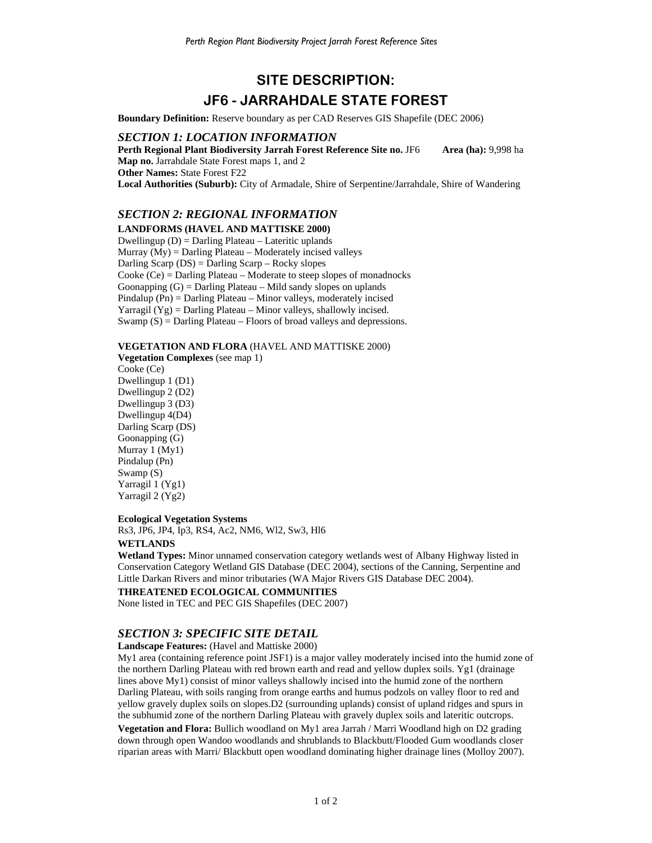# **SITE DESCRIPTION: JF6 - JARRAHDALE STATE FOREST**

**Boundary Definition:** Reserve boundary as per CAD Reserves GIS Shapefile (DEC 2006)

## *SECTION 1: LOCATION INFORMATION*

**Perth Regional Plant Biodiversity Jarrah Forest Reference Site no. JF6 Area (ha): 9,998 ha Map no.** Jarrahdale State Forest maps 1, and 2 **Other Names:** State Forest F22 **Local Authorities (Suburb):** City of Armadale, Shire of Serpentine/Jarrahdale, Shire of Wandering

## *SECTION 2: REGIONAL INFORMATION*

## **LANDFORMS (HAVEL AND MATTISKE 2000)**

Dwellingup (D) = Darling Plateau – Lateritic uplands Murray  $(My)$  = Darling Plateau – Moderately incised valleys Darling Scarp  $(DS) =$  Darling Scarp – Rocky slopes Cooke (Ce) = Darling Plateau – Moderate to steep slopes of monadnocks Goonapping  $(G)$  = Darling Plateau – Mild sandy slopes on uplands Pindalup (Pn) = Darling Plateau – Minor valleys, moderately incised Yarragil  $(Yg)$  = Darling Plateau – Minor valleys, shallowly incised. Swamp  $(S)$  = Darling Plateau – Floors of broad valleys and depressions.

**VEGETATION AND FLORA** (HAVEL AND MATTISKE 2000)

**Vegetation Complexes** (see map 1) Cooke (Ce) Dwellingup 1 (D1) Dwellingup 2 (D2) Dwellingup 3 (D3) Dwellingup 4(D4) Darling Scarp (DS) Goonapping (G) Murray 1 (My1) Pindalup (Pn) Swamp (S) Yarragil 1 (Yg1) Yarragil 2 (Yg2)

## **Ecological Vegetation Systems**

Rs3, JP6, JP4, Ip3, RS4, Ac2, NM6, Wl2, Sw3, Hl6

## **WETLANDS**

**Wetland Types:** Minor unnamed conservation category wetlands west of Albany Highway listed in Conservation Category Wetland GIS Database (DEC 2004), sections of the Canning, Serpentine and Little Darkan Rivers and minor tributaries (WA Major Rivers GIS Database DEC 2004).

### **THREATENED ECOLOGICAL COMMUNITIES**

None listed in TEC and PEC GIS Shapefiles (DEC 2007)

## *SECTION 3: SPECIFIC SITE DETAIL*

#### **Landscape Features:** (Havel and Mattiske 2000)

My1 area (containing reference point JSF1) is a major valley moderately incised into the humid zone of the northern Darling Plateau with red brown earth and read and yellow duplex soils. Yg1 (drainage lines above My1) consist of minor valleys shallowly incised into the humid zone of the northern Darling Plateau, with soils ranging from orange earths and humus podzols on valley floor to red and yellow gravely duplex soils on slopes.D2 (surrounding uplands) consist of upland ridges and spurs in the subhumid zone of the northern Darling Plateau with gravely duplex soils and lateritic outcrops.

**Vegetation and Flora:** Bullich woodland on My1 area Jarrah / Marri Woodland high on D2 grading down through open Wandoo woodlands and shrublands to Blackbutt/Flooded Gum woodlands closer riparian areas with Marri/ Blackbutt open woodland dominating higher drainage lines (Molloy 2007).